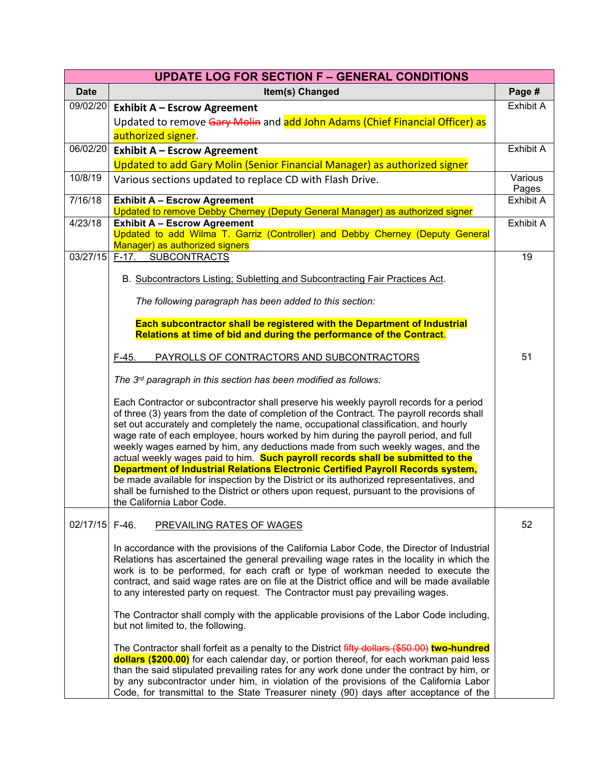| <b>UPDATE LOG FOR SECTION F - GENERAL CONDITIONS</b> |                                                                                                                                                                                                                                                                                                                                                                                                                                                                                                                                                                                                                                                                                                                                                                                                                                                  |                  |  |  |
|------------------------------------------------------|--------------------------------------------------------------------------------------------------------------------------------------------------------------------------------------------------------------------------------------------------------------------------------------------------------------------------------------------------------------------------------------------------------------------------------------------------------------------------------------------------------------------------------------------------------------------------------------------------------------------------------------------------------------------------------------------------------------------------------------------------------------------------------------------------------------------------------------------------|------------------|--|--|
| <b>Date</b>                                          | Item(s) Changed                                                                                                                                                                                                                                                                                                                                                                                                                                                                                                                                                                                                                                                                                                                                                                                                                                  | Page #           |  |  |
| 09/02/20                                             | <b>Exhibit A - Escrow Agreement</b>                                                                                                                                                                                                                                                                                                                                                                                                                                                                                                                                                                                                                                                                                                                                                                                                              | <b>Exhibit A</b> |  |  |
|                                                      | Updated to remove Gary Molin and add John Adams (Chief Financial Officer) as                                                                                                                                                                                                                                                                                                                                                                                                                                                                                                                                                                                                                                                                                                                                                                     |                  |  |  |
|                                                      | authorized signer.                                                                                                                                                                                                                                                                                                                                                                                                                                                                                                                                                                                                                                                                                                                                                                                                                               |                  |  |  |
| 06/02/20                                             | <b>Exhibit A - Escrow Agreement</b>                                                                                                                                                                                                                                                                                                                                                                                                                                                                                                                                                                                                                                                                                                                                                                                                              | <b>Exhibit A</b> |  |  |
|                                                      | Updated to add Gary Molin (Senior Financial Manager) as authorized signer                                                                                                                                                                                                                                                                                                                                                                                                                                                                                                                                                                                                                                                                                                                                                                        |                  |  |  |
| 10/8/19                                              | Various sections updated to replace CD with Flash Drive.                                                                                                                                                                                                                                                                                                                                                                                                                                                                                                                                                                                                                                                                                                                                                                                         | Various          |  |  |
|                                                      |                                                                                                                                                                                                                                                                                                                                                                                                                                                                                                                                                                                                                                                                                                                                                                                                                                                  | Pages            |  |  |
| 7/16/18                                              | <b>Exhibit A - Escrow Agreement</b><br>Updated to remove Debby Cherney (Deputy General Manager) as authorized signer                                                                                                                                                                                                                                                                                                                                                                                                                                                                                                                                                                                                                                                                                                                             | <b>Exhibit A</b> |  |  |
| 4/23/18                                              | <b>Exhibit A - Escrow Agreement</b>                                                                                                                                                                                                                                                                                                                                                                                                                                                                                                                                                                                                                                                                                                                                                                                                              | Exhibit A        |  |  |
|                                                      | Updated to add Wilma T. Garriz (Controller) and Debby Cherney (Deputy General                                                                                                                                                                                                                                                                                                                                                                                                                                                                                                                                                                                                                                                                                                                                                                    |                  |  |  |
|                                                      | Manager) as authorized signers                                                                                                                                                                                                                                                                                                                                                                                                                                                                                                                                                                                                                                                                                                                                                                                                                   |                  |  |  |
| 03/27/15                                             | <b>SUBCONTRACTS</b><br>$F-17.$                                                                                                                                                                                                                                                                                                                                                                                                                                                                                                                                                                                                                                                                                                                                                                                                                   | 19               |  |  |
|                                                      | B. Subcontractors Listing; Subletting and Subcontracting Fair Practices Act.                                                                                                                                                                                                                                                                                                                                                                                                                                                                                                                                                                                                                                                                                                                                                                     |                  |  |  |
|                                                      |                                                                                                                                                                                                                                                                                                                                                                                                                                                                                                                                                                                                                                                                                                                                                                                                                                                  |                  |  |  |
|                                                      | The following paragraph has been added to this section:                                                                                                                                                                                                                                                                                                                                                                                                                                                                                                                                                                                                                                                                                                                                                                                          |                  |  |  |
|                                                      | Each subcontractor shall be registered with the Department of Industrial                                                                                                                                                                                                                                                                                                                                                                                                                                                                                                                                                                                                                                                                                                                                                                         |                  |  |  |
|                                                      | Relations at time of bid and during the performance of the Contract.                                                                                                                                                                                                                                                                                                                                                                                                                                                                                                                                                                                                                                                                                                                                                                             |                  |  |  |
|                                                      | PAYROLLS OF CONTRACTORS AND SUBCONTRACTORS<br>F-45.                                                                                                                                                                                                                                                                                                                                                                                                                                                                                                                                                                                                                                                                                                                                                                                              | 51               |  |  |
|                                                      | The 3rd paragraph in this section has been modified as follows:                                                                                                                                                                                                                                                                                                                                                                                                                                                                                                                                                                                                                                                                                                                                                                                  |                  |  |  |
|                                                      | Each Contractor or subcontractor shall preserve his weekly payroll records for a period<br>of three (3) years from the date of completion of the Contract. The payroll records shall<br>set out accurately and completely the name, occupational classification, and hourly<br>wage rate of each employee, hours worked by him during the payroll period, and full<br>weekly wages earned by him, any deductions made from such weekly wages, and the<br>actual weekly wages paid to him. Such payroll records shall be submitted to the<br>Department of Industrial Relations Electronic Certified Payroll Records system,<br>be made available for inspection by the District or its authorized representatives, and<br>shall be furnished to the District or others upon request, pursuant to the provisions of<br>the California Labor Code. |                  |  |  |
| 02/17/15                                             | F-46.<br><b>PREVAILING RATES OF WAGES</b>                                                                                                                                                                                                                                                                                                                                                                                                                                                                                                                                                                                                                                                                                                                                                                                                        | 52               |  |  |
|                                                      | In accordance with the provisions of the California Labor Code, the Director of Industrial<br>Relations has ascertained the general prevailing wage rates in the locality in which the<br>work is to be performed, for each craft or type of workman needed to execute the<br>contract, and said wage rates are on file at the District office and will be made available<br>to any interested party on request. The Contractor must pay prevailing wages.                                                                                                                                                                                                                                                                                                                                                                                       |                  |  |  |
|                                                      | The Contractor shall comply with the applicable provisions of the Labor Code including,<br>but not limited to, the following.                                                                                                                                                                                                                                                                                                                                                                                                                                                                                                                                                                                                                                                                                                                    |                  |  |  |
|                                                      | The Contractor shall forfeit as a penalty to the District fifty dollars (\$50.00) two-hundred<br>dollars (\$200.00) for each calendar day, or portion thereof, for each workman paid less<br>than the said stipulated prevailing rates for any work done under the contract by him, or<br>by any subcontractor under him, in violation of the provisions of the California Labor<br>Code, for transmittal to the State Treasurer ninety (90) days after acceptance of the                                                                                                                                                                                                                                                                                                                                                                        |                  |  |  |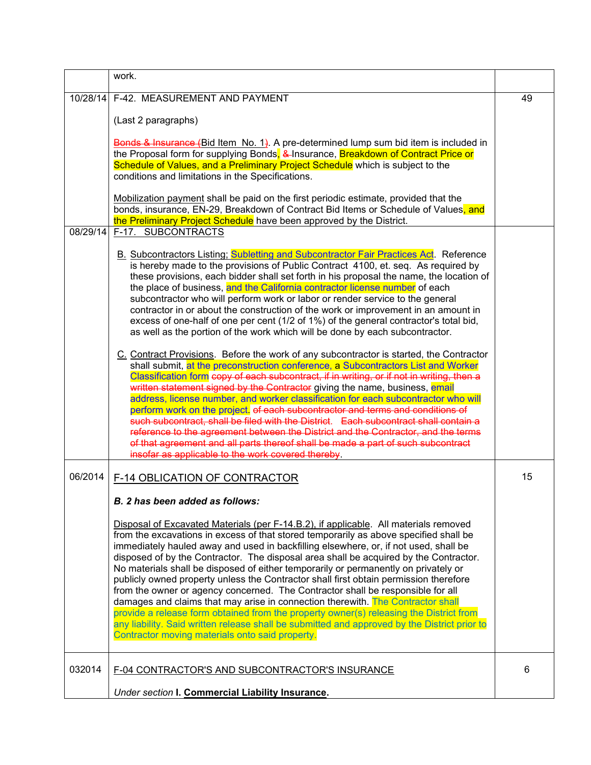|          | work.                                                                                                                                                                                                                                                                                                                                                                                                                                                                                                                                                                                                                                                                                                                                                                                                                                                                                                                                                             |    |  |  |  |  |
|----------|-------------------------------------------------------------------------------------------------------------------------------------------------------------------------------------------------------------------------------------------------------------------------------------------------------------------------------------------------------------------------------------------------------------------------------------------------------------------------------------------------------------------------------------------------------------------------------------------------------------------------------------------------------------------------------------------------------------------------------------------------------------------------------------------------------------------------------------------------------------------------------------------------------------------------------------------------------------------|----|--|--|--|--|
|          | 10/28/14 F-42. MEASUREMENT AND PAYMENT                                                                                                                                                                                                                                                                                                                                                                                                                                                                                                                                                                                                                                                                                                                                                                                                                                                                                                                            | 49 |  |  |  |  |
|          | (Last 2 paragraphs)                                                                                                                                                                                                                                                                                                                                                                                                                                                                                                                                                                                                                                                                                                                                                                                                                                                                                                                                               |    |  |  |  |  |
|          | Bonds & Insurance (Bid Item No. 1). A pre-determined lump sum bid item is included in<br>the Proposal form for supplying Bonds, & Insurance, Breakdown of Contract Price or<br>Schedule of Values, and a Preliminary Project Schedule which is subject to the<br>conditions and limitations in the Specifications.                                                                                                                                                                                                                                                                                                                                                                                                                                                                                                                                                                                                                                                |    |  |  |  |  |
| 08/29/14 | Mobilization payment shall be paid on the first periodic estimate, provided that the<br>bonds, insurance, EN-29, Breakdown of Contract Bid Items or Schedule of Values, and<br>the Preliminary Project Schedule have been approved by the District.<br>F-17. SUBCONTRACTS                                                                                                                                                                                                                                                                                                                                                                                                                                                                                                                                                                                                                                                                                         |    |  |  |  |  |
|          | B. Subcontractors Listing; Subletting and Subcontractor Fair Practices Act. Reference<br>is hereby made to the provisions of Public Contract 4100, et. seq. As required by<br>these provisions, each bidder shall set forth in his proposal the name, the location of<br>the place of business, and the California contractor license number of each<br>subcontractor who will perform work or labor or render service to the general<br>contractor in or about the construction of the work or improvement in an amount in<br>excess of one-half of one per cent (1/2 of 1%) of the general contractor's total bid,<br>as well as the portion of the work which will be done by each subcontractor.                                                                                                                                                                                                                                                              |    |  |  |  |  |
|          | C. Contract Provisions. Before the work of any subcontractor is started, the Contractor<br>shall submit, at the preconstruction conference, a Subcontractors List and Worker<br>Classification form copy of each subcontract, if in writing, or if not in writing, then a<br>written statement signed by the Contractor giving the name, business, email<br>address, license number, and worker classification for each subcontractor who will<br>perform work on the project. of each subcontractor and terms and conditions of<br>such subcontract, shall be filed with the District. Each subcontract shall contain a<br>reference to the agreement between the District and the Contractor, and the terms<br>of that agreement and all parts thereof shall be made a part of such subcontract<br>insofar as applicable to the work covered thereby.                                                                                                           |    |  |  |  |  |
| 06/2014  | <b>F-14 OBLICATION OF CONTRACTOR</b>                                                                                                                                                                                                                                                                                                                                                                                                                                                                                                                                                                                                                                                                                                                                                                                                                                                                                                                              | 15 |  |  |  |  |
|          | B. 2 has been added as follows:                                                                                                                                                                                                                                                                                                                                                                                                                                                                                                                                                                                                                                                                                                                                                                                                                                                                                                                                   |    |  |  |  |  |
|          | Disposal of Excavated Materials (per F-14.B.2), if applicable. All materials removed<br>from the excavations in excess of that stored temporarily as above specified shall be<br>immediately hauled away and used in backfilling elsewhere, or, if not used, shall be<br>disposed of by the Contractor. The disposal area shall be acquired by the Contractor.<br>No materials shall be disposed of either temporarily or permanently on privately or<br>publicly owned property unless the Contractor shall first obtain permission therefore<br>from the owner or agency concerned. The Contractor shall be responsible for all<br>damages and claims that may arise in connection therewith. The Contractor shall<br>provide a release form obtained from the property owner(s) releasing the District from<br>any liability. Said written release shall be submitted and approved by the District prior to<br>Contractor moving materials onto said property. |    |  |  |  |  |
| 032014   | F-04 CONTRACTOR'S AND SUBCONTRACTOR'S INSURANCE<br>Under section I. Commercial Liability Insurance.                                                                                                                                                                                                                                                                                                                                                                                                                                                                                                                                                                                                                                                                                                                                                                                                                                                               | 6  |  |  |  |  |
|          |                                                                                                                                                                                                                                                                                                                                                                                                                                                                                                                                                                                                                                                                                                                                                                                                                                                                                                                                                                   |    |  |  |  |  |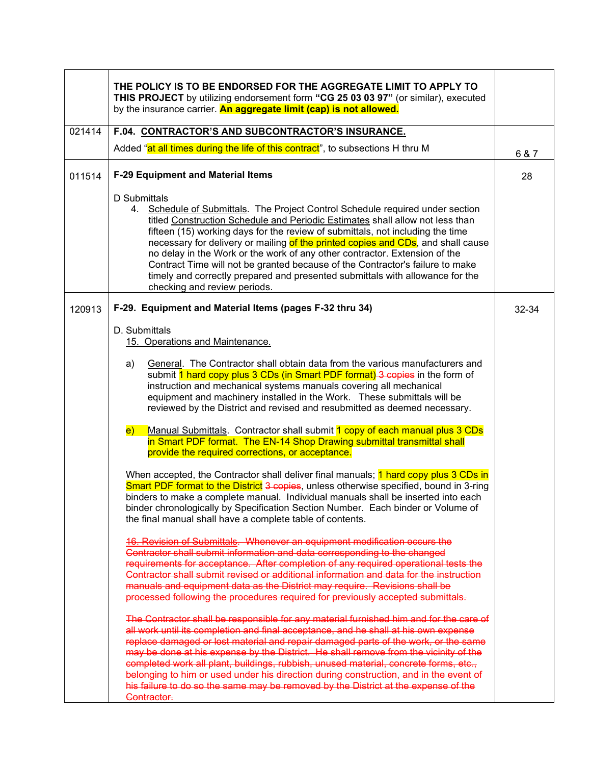|        | THE POLICY IS TO BE ENDORSED FOR THE AGGREGATE LIMIT TO APPLY TO<br>THIS PROJECT by utilizing endorsement form "CG 25 03 03 97" (or similar), executed<br>by the insurance carrier. An aggregate limit (cap) is not allowed.                                                                                                                                                                                                                                                                                                                                                                                                                      |       |  |  |  |  |  |
|--------|---------------------------------------------------------------------------------------------------------------------------------------------------------------------------------------------------------------------------------------------------------------------------------------------------------------------------------------------------------------------------------------------------------------------------------------------------------------------------------------------------------------------------------------------------------------------------------------------------------------------------------------------------|-------|--|--|--|--|--|
| 021414 | F.04. CONTRACTOR'S AND SUBCONTRACTOR'S INSURANCE.                                                                                                                                                                                                                                                                                                                                                                                                                                                                                                                                                                                                 |       |  |  |  |  |  |
|        | Added "at all times during the life of this contract", to subsections H thru M                                                                                                                                                                                                                                                                                                                                                                                                                                                                                                                                                                    | 6 & 7 |  |  |  |  |  |
| 011514 | <b>F-29 Equipment and Material Items</b>                                                                                                                                                                                                                                                                                                                                                                                                                                                                                                                                                                                                          | 28    |  |  |  |  |  |
|        | D Submittals<br>4. Schedule of Submittals. The Project Control Schedule required under section<br>titled Construction Schedule and Periodic Estimates shall allow not less than<br>fifteen (15) working days for the review of submittals, not including the time<br>necessary for delivery or mailing of the printed copies and CDs, and shall cause<br>no delay in the Work or the work of any other contractor. Extension of the<br>Contract Time will not be granted because of the Contractor's failure to make<br>timely and correctly prepared and presented submittals with allowance for the<br>checking and review periods.             |       |  |  |  |  |  |
| 120913 | F-29. Equipment and Material Items (pages F-32 thru 34)                                                                                                                                                                                                                                                                                                                                                                                                                                                                                                                                                                                           | 32-34 |  |  |  |  |  |
|        | D. Submittals<br>15. Operations and Maintenance.                                                                                                                                                                                                                                                                                                                                                                                                                                                                                                                                                                                                  |       |  |  |  |  |  |
|        | General. The Contractor shall obtain data from the various manufacturers and<br>a)<br>submit 1 hard copy plus 3 CDs (in Smart PDF format) 3 copies in the form of<br>instruction and mechanical systems manuals covering all mechanical<br>equipment and machinery installed in the Work. These submittals will be<br>reviewed by the District and revised and resubmitted as deemed necessary.                                                                                                                                                                                                                                                   |       |  |  |  |  |  |
|        | Manual Submittals. Contractor shall submit 1 copy of each manual plus 3 CDs<br>$\vert e \rangle$<br>in Smart PDF format. The EN-14 Shop Drawing submittal transmittal shall<br>provide the required corrections, or acceptance.                                                                                                                                                                                                                                                                                                                                                                                                                   |       |  |  |  |  |  |
|        | When accepted, the Contractor shall deliver final manuals; 1 hard copy plus 3 CDs in<br>Smart PDF format to the District 3-copies, unless otherwise specified, bound in 3-ring<br>binders to make a complete manual. Individual manuals shall be inserted into each<br>binder chronologically by Specification Section Number. Each binder or Volume of<br>the final manual shall have a complete table of contents.                                                                                                                                                                                                                              |       |  |  |  |  |  |
|        | 16. Revision of Submittals. Whenever an equipment modification occurs the<br>Contractor shall submit information and data corresponding to the changed<br>requirements for acceptance. After completion of any required operational tests the<br>Contractor shall submit revised or additional information and data for the instruction<br>manuals and equipment data as the District may require. Revisions shall be<br>processed following the procedures required for previously accepted submittals.                                                                                                                                          |       |  |  |  |  |  |
|        | The Contractor shall be responsible for any material furnished him and for the care of<br>all work until its completion and final acceptance, and he shall at his own expense<br>replace damaged or lost material and repair damaged parts of the work, or the same<br>may be done at his expense by the District. He shall remove from the vicinity of the<br>completed work all plant, buildings, rubbish, unused material, concrete forms, etc.,<br>belonging to him or used under his direction during construction, and in the event of<br>his failure to do so the same may be removed by the District at the expense of the<br>Contractor. |       |  |  |  |  |  |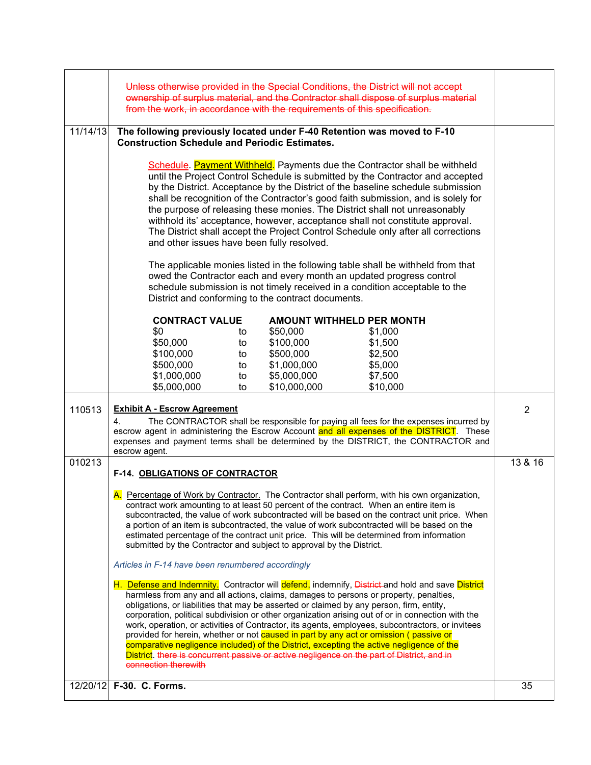|          | Unless otherwise provided in the Special Conditions, the District will not accept<br>ownership of surplus material, and the Contractor shall dispose of surplus material<br>from the work, in accordance with the requirements of this specification.                                                                                                                                                                                                                                                                                                                                                                                                                                                                                                                                                     |                |  |  |  |  |
|----------|-----------------------------------------------------------------------------------------------------------------------------------------------------------------------------------------------------------------------------------------------------------------------------------------------------------------------------------------------------------------------------------------------------------------------------------------------------------------------------------------------------------------------------------------------------------------------------------------------------------------------------------------------------------------------------------------------------------------------------------------------------------------------------------------------------------|----------------|--|--|--|--|
| 11/14/13 | The following previously located under F-40 Retention was moved to F-10<br><b>Construction Schedule and Periodic Estimates.</b>                                                                                                                                                                                                                                                                                                                                                                                                                                                                                                                                                                                                                                                                           |                |  |  |  |  |
|          | <b>Schedule.</b> Payment Withheld. Payments due the Contractor shall be withheld<br>until the Project Control Schedule is submitted by the Contractor and accepted<br>by the District. Acceptance by the District of the baseline schedule submission<br>shall be recognition of the Contractor's good faith submission, and is solely for<br>the purpose of releasing these monies. The District shall not unreasonably<br>withhold its' acceptance, however, acceptance shall not constitute approval.<br>The District shall accept the Project Control Schedule only after all corrections<br>and other issues have been fully resolved.                                                                                                                                                               |                |  |  |  |  |
|          | The applicable monies listed in the following table shall be withheld from that<br>owed the Contractor each and every month an updated progress control<br>schedule submission is not timely received in a condition acceptable to the<br>District and conforming to the contract documents.                                                                                                                                                                                                                                                                                                                                                                                                                                                                                                              |                |  |  |  |  |
|          | <b>CONTRACT VALUE</b><br><b>AMOUNT WITHHELD PER MONTH</b>                                                                                                                                                                                                                                                                                                                                                                                                                                                                                                                                                                                                                                                                                                                                                 |                |  |  |  |  |
|          | \$0<br>\$50,000<br>\$1,000<br>to<br>\$50,000<br>\$100,000<br>\$1,500<br>to                                                                                                                                                                                                                                                                                                                                                                                                                                                                                                                                                                                                                                                                                                                                |                |  |  |  |  |
|          | \$100,000<br>\$500,000<br>\$2,500<br>to<br>\$500,000<br>\$1,000,000<br>\$5,000<br>to                                                                                                                                                                                                                                                                                                                                                                                                                                                                                                                                                                                                                                                                                                                      |                |  |  |  |  |
|          | \$1,000,000<br>\$5,000,000<br>\$7,500<br>to<br>\$5,000,000<br>\$10,000,000<br>\$10,000<br>to                                                                                                                                                                                                                                                                                                                                                                                                                                                                                                                                                                                                                                                                                                              |                |  |  |  |  |
| 110513   | <b>Exhibit A - Escrow Agreement</b><br>The CONTRACTOR shall be responsible for paying all fees for the expenses incurred by<br>4.<br>escrow agent in administering the Escrow Account and all expenses of the DISTRICT. These<br>expenses and payment terms shall be determined by the DISTRICT, the CONTRACTOR and<br>escrow agent.                                                                                                                                                                                                                                                                                                                                                                                                                                                                      | $\overline{2}$ |  |  |  |  |
| 010213   |                                                                                                                                                                                                                                                                                                                                                                                                                                                                                                                                                                                                                                                                                                                                                                                                           | 13 & 16        |  |  |  |  |
|          | F-14. OBLIGATIONS OF CONTRACTOR<br>A. Percentage of Work by Contractor. The Contractor shall perform, with his own organization,<br>contract work amounting to at least 50 percent of the contract. When an entire item is<br>subcontracted, the value of work subcontracted will be based on the contract unit price. When<br>a portion of an item is subcontracted, the value of work subcontracted will be based on the<br>estimated percentage of the contract unit price. This will be determined from information<br>submitted by the Contractor and subject to approval by the District.                                                                                                                                                                                                           |                |  |  |  |  |
|          | Articles in F-14 have been renumbered accordingly                                                                                                                                                                                                                                                                                                                                                                                                                                                                                                                                                                                                                                                                                                                                                         |                |  |  |  |  |
|          | H. Defense and Indemnity. Contractor will defend, indemnify, District and hold and save District<br>harmless from any and all actions, claims, damages to persons or property, penalties,<br>obligations, or liabilities that may be asserted or claimed by any person, firm, entity,<br>corporation, political subdivision or other organization arising out of or in connection with the<br>work, operation, or activities of Contractor, its agents, employees, subcontractors, or invitees<br>provided for herein, whether or not caused in part by any act or omission (passive or<br>comparative negligence included) of the District, excepting the active negligence of the<br>District. there is concurrent passive or active negligence on the part of District, and in<br>connection therewith |                |  |  |  |  |
|          | 12/20/12 F-30. C. Forms.                                                                                                                                                                                                                                                                                                                                                                                                                                                                                                                                                                                                                                                                                                                                                                                  | 35             |  |  |  |  |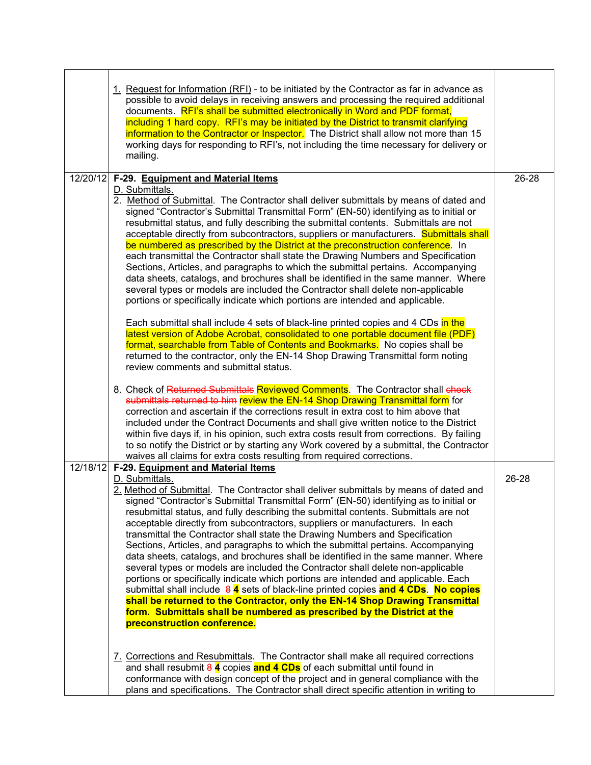|          | 1. Request for Information (RFI) - to be initiated by the Contractor as far in advance as<br>possible to avoid delays in receiving answers and processing the required additional<br>documents. RFI's shall be submitted electronically in Word and PDF format,<br>including 1 hard copy. RFI's may be initiated by the District to transmit clarifying<br>information to the Contractor or Inspector. The District shall allow not more than 15<br>working days for responding to RFI's, not including the time necessary for delivery or<br>mailing.                                                                                                                                                                                                                                                                                                                                                                                                                                                                                                                                                                                                                                                                                                                                                                                     |       |
|----------|--------------------------------------------------------------------------------------------------------------------------------------------------------------------------------------------------------------------------------------------------------------------------------------------------------------------------------------------------------------------------------------------------------------------------------------------------------------------------------------------------------------------------------------------------------------------------------------------------------------------------------------------------------------------------------------------------------------------------------------------------------------------------------------------------------------------------------------------------------------------------------------------------------------------------------------------------------------------------------------------------------------------------------------------------------------------------------------------------------------------------------------------------------------------------------------------------------------------------------------------------------------------------------------------------------------------------------------------|-------|
|          | 12/20/12 F-29. Equipment and Material Items<br>D. Submittals.<br>2. Method of Submittal. The Contractor shall deliver submittals by means of dated and<br>signed "Contractor's Submittal Transmittal Form" (EN-50) identifying as to initial or<br>resubmittal status, and fully describing the submittal contents. Submittals are not<br>acceptable directly from subcontractors, suppliers or manufacturers. Submittals shall<br>be numbered as prescribed by the District at the preconstruction conference. In<br>each transmittal the Contractor shall state the Drawing Numbers and Specification<br>Sections, Articles, and paragraphs to which the submittal pertains. Accompanying<br>data sheets, catalogs, and brochures shall be identified in the same manner. Where<br>several types or models are included the Contractor shall delete non-applicable<br>portions or specifically indicate which portions are intended and applicable.<br>Each submittal shall include 4 sets of black-line printed copies and 4 CDs in the<br>latest version of Adobe Acrobat, consolidated to one portable document file (PDF)<br>format, searchable from Table of Contents and Bookmarks. No copies shall be<br>returned to the contractor, only the EN-14 Shop Drawing Transmittal form noting<br>review comments and submittal status. | 26-28 |
|          | 8. Check of Returned Submittals Reviewed Comments. The Contractor shall check<br>submittals returned to him review the EN-14 Shop Drawing Transmittal form for<br>correction and ascertain if the corrections result in extra cost to him above that<br>included under the Contract Documents and shall give written notice to the District<br>within five days if, in his opinion, such extra costs result from corrections. By failing<br>to so notify the District or by starting any Work covered by a submittal, the Contractor<br>waives all claims for extra costs resulting from required corrections.                                                                                                                                                                                                                                                                                                                                                                                                                                                                                                                                                                                                                                                                                                                             |       |
| 12/18/12 | F-29. Equipment and Material Items<br>D. Submittals.<br>2. Method of Submittal. The Contractor shall deliver submittals by means of dated and<br>signed "Contractor's Submittal Transmittal Form" (EN-50) identifying as to initial or<br>resubmittal status, and fully describing the submittal contents. Submittals are not<br>acceptable directly from subcontractors, suppliers or manufacturers. In each<br>transmittal the Contractor shall state the Drawing Numbers and Specification<br>Sections, Articles, and paragraphs to which the submittal pertains. Accompanying<br>data sheets, catalogs, and brochures shall be identified in the same manner. Where<br>several types or models are included the Contractor shall delete non-applicable<br>portions or specifically indicate which portions are intended and applicable. Each<br>submittal shall include 84 sets of black-line printed copies and 4 CDs. No copies<br>shall be returned to the Contractor, only the EN-14 Shop Drawing Transmittal<br>form. Submittals shall be numbered as prescribed by the District at the<br>preconstruction conference.                                                                                                                                                                                                            | 26-28 |
|          | 7. Corrections and Resubmittals. The Contractor shall make all required corrections<br>and shall resubmit $8\frac{4}{1}$ copies and $4\overline{CDs}$ of each submittal until found in<br>conformance with design concept of the project and in general compliance with the<br>plans and specifications. The Contractor shall direct specific attention in writing to                                                                                                                                                                                                                                                                                                                                                                                                                                                                                                                                                                                                                                                                                                                                                                                                                                                                                                                                                                      |       |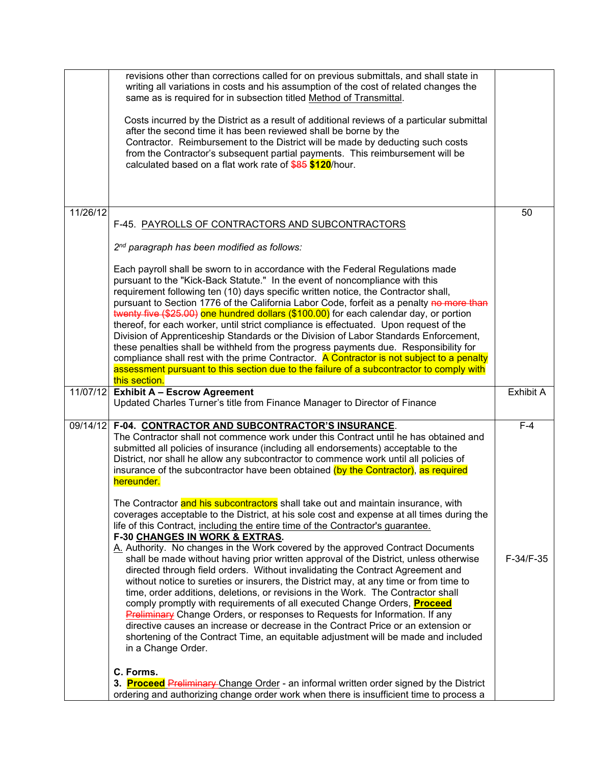|          | revisions other than corrections called for on previous submittals, and shall state in<br>writing all variations in costs and his assumption of the cost of related changes the<br>same as is required for in subsection titled Method of Transmittal.                                                                                                                                                                                                                                                                                                                                                                                                                                                                                                                                                                                                                                                                                                                                                                                                                                                                                                                                                                                                                                                                                                                                                                                                                                                                                                             |                      |
|----------|--------------------------------------------------------------------------------------------------------------------------------------------------------------------------------------------------------------------------------------------------------------------------------------------------------------------------------------------------------------------------------------------------------------------------------------------------------------------------------------------------------------------------------------------------------------------------------------------------------------------------------------------------------------------------------------------------------------------------------------------------------------------------------------------------------------------------------------------------------------------------------------------------------------------------------------------------------------------------------------------------------------------------------------------------------------------------------------------------------------------------------------------------------------------------------------------------------------------------------------------------------------------------------------------------------------------------------------------------------------------------------------------------------------------------------------------------------------------------------------------------------------------------------------------------------------------|----------------------|
|          | Costs incurred by the District as a result of additional reviews of a particular submittal<br>after the second time it has been reviewed shall be borne by the<br>Contractor. Reimbursement to the District will be made by deducting such costs<br>from the Contractor's subsequent partial payments. This reimbursement will be<br>calculated based on a flat work rate of \$85 \$120/hour.                                                                                                                                                                                                                                                                                                                                                                                                                                                                                                                                                                                                                                                                                                                                                                                                                                                                                                                                                                                                                                                                                                                                                                      |                      |
| 11/26/12 |                                                                                                                                                                                                                                                                                                                                                                                                                                                                                                                                                                                                                                                                                                                                                                                                                                                                                                                                                                                                                                                                                                                                                                                                                                                                                                                                                                                                                                                                                                                                                                    | 50                   |
|          | F-45. PAYROLLS OF CONTRACTORS AND SUBCONTRACTORS                                                                                                                                                                                                                                                                                                                                                                                                                                                                                                                                                                                                                                                                                                                                                                                                                                                                                                                                                                                                                                                                                                                                                                                                                                                                                                                                                                                                                                                                                                                   |                      |
|          | 2 <sup>nd</sup> paragraph has been modified as follows:                                                                                                                                                                                                                                                                                                                                                                                                                                                                                                                                                                                                                                                                                                                                                                                                                                                                                                                                                                                                                                                                                                                                                                                                                                                                                                                                                                                                                                                                                                            |                      |
|          | Each payroll shall be sworn to in accordance with the Federal Regulations made<br>pursuant to the "Kick-Back Statute." In the event of noncompliance with this<br>requirement following ten (10) days specific written notice, the Contractor shall,<br>pursuant to Section 1776 of the California Labor Code, forfeit as a penalty no more than<br>twenty five (\$25.00) one hundred dollars (\$100.00) for each calendar day, or portion<br>thereof, for each worker, until strict compliance is effectuated. Upon request of the<br>Division of Apprenticeship Standards or the Division of Labor Standards Enforcement,<br>these penalties shall be withheld from the progress payments due. Responsibility for<br>compliance shall rest with the prime Contractor. A Contractor is not subject to a penalty<br>assessment pursuant to this section due to the failure of a subcontractor to comply with<br>this section.                                                                                                                                                                                                                                                                                                                                                                                                                                                                                                                                                                                                                                      |                      |
| 11/07/12 | <b>Exhibit A - Escrow Agreement</b><br>Updated Charles Turner's title from Finance Manager to Director of Finance                                                                                                                                                                                                                                                                                                                                                                                                                                                                                                                                                                                                                                                                                                                                                                                                                                                                                                                                                                                                                                                                                                                                                                                                                                                                                                                                                                                                                                                  | <b>Exhibit A</b>     |
|          |                                                                                                                                                                                                                                                                                                                                                                                                                                                                                                                                                                                                                                                                                                                                                                                                                                                                                                                                                                                                                                                                                                                                                                                                                                                                                                                                                                                                                                                                                                                                                                    |                      |
| 09/14/12 | F-04. CONTRACTOR AND SUBCONTRACTOR'S INSURANCE.<br>The Contractor shall not commence work under this Contract until he has obtained and<br>submitted all policies of insurance (including all endorsements) acceptable to the<br>District, nor shall he allow any subcontractor to commence work until all policies of<br>insurance of the subcontractor have been obtained (by the Contractor), as required<br>hereunder.<br>The Contractor and his subcontractors shall take out and maintain insurance, with<br>coverages acceptable to the District, at his sole cost and expense at all times during the<br>life of this Contract, including the entire time of the Contractor's guarantee.<br><b>F-30 CHANGES IN WORK &amp; EXTRAS.</b><br>A. Authority. No changes in the Work covered by the approved Contract Documents<br>shall be made without having prior written approval of the District, unless otherwise<br>directed through field orders. Without invalidating the Contract Agreement and<br>without notice to sureties or insurers, the District may, at any time or from time to<br>time, order additions, deletions, or revisions in the Work. The Contractor shall<br>comply promptly with requirements of all executed Change Orders, <b>Proceed</b><br><b>Preliminary Change Orders, or responses to Requests for Information. If any</b><br>directive causes an increase or decrease in the Contract Price or an extension or<br>shortening of the Contract Time, an equitable adjustment will be made and included<br>in a Change Order. | $F-4$<br>$F-34/F-35$ |
|          | C. Forms.<br>3. <b>Proceed Preliminary-Change Order</b> - an informal written order signed by the District<br>ordering and authorizing change order work when there is insufficient time to process a                                                                                                                                                                                                                                                                                                                                                                                                                                                                                                                                                                                                                                                                                                                                                                                                                                                                                                                                                                                                                                                                                                                                                                                                                                                                                                                                                              |                      |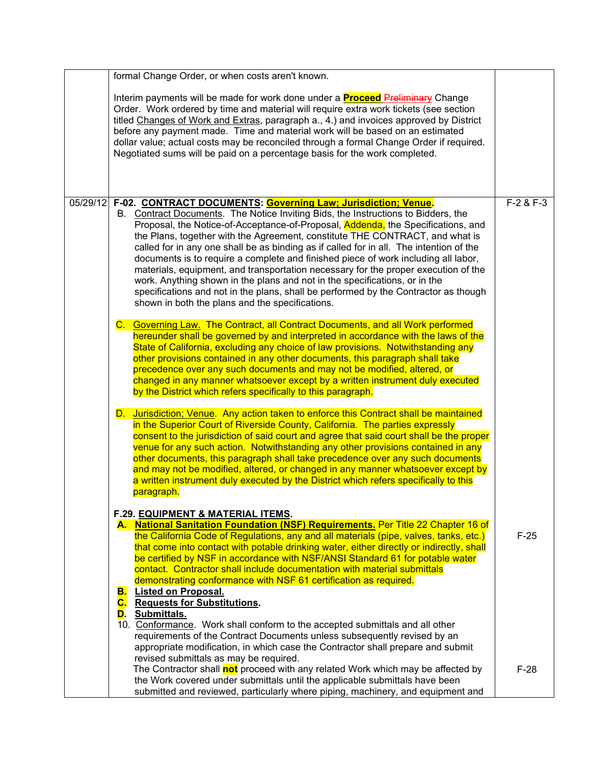|          | formal Change Order, or when costs aren't known.                                                                                                                                                                                                                                                                                                                                                                                                                                                                                                                                                                                                                                                                                                                                                                      |               |  |  |  |  |
|----------|-----------------------------------------------------------------------------------------------------------------------------------------------------------------------------------------------------------------------------------------------------------------------------------------------------------------------------------------------------------------------------------------------------------------------------------------------------------------------------------------------------------------------------------------------------------------------------------------------------------------------------------------------------------------------------------------------------------------------------------------------------------------------------------------------------------------------|---------------|--|--|--|--|
|          | Interim payments will be made for work done under a <b>Proceed Preliminary</b> Change<br>Order. Work ordered by time and material will require extra work tickets (see section<br>titled Changes of Work and Extras, paragraph a., 4.) and invoices approved by District<br>before any payment made. Time and material work will be based on an estimated<br>dollar value; actual costs may be reconciled through a formal Change Order if required.<br>Negotiated sums will be paid on a percentage basis for the work completed.                                                                                                                                                                                                                                                                                    |               |  |  |  |  |
| 05/29/12 | F-02. CONTRACT DOCUMENTS: Governing Law; Jurisdiction; Venue.<br>B. Contract Documents. The Notice Inviting Bids, the Instructions to Bidders, the<br>Proposal, the Notice-of-Acceptance-of-Proposal, Addenda, the Specifications, and<br>the Plans, together with the Agreement, constitute THE CONTRACT, and what is<br>called for in any one shall be as binding as if called for in all. The intention of the<br>documents is to require a complete and finished piece of work including all labor,<br>materials, equipment, and transportation necessary for the proper execution of the<br>work. Anything shown in the plans and not in the specifications, or in the<br>specifications and not in the plans, shall be performed by the Contractor as though<br>shown in both the plans and the specifications. | $F-2$ & $F-3$ |  |  |  |  |
|          | C. Governing Law. The Contract, all Contract Documents, and all Work performed<br>hereunder shall be governed by and interpreted in accordance with the laws of the<br>State of California, excluding any choice of law provisions. Notwithstanding any<br>other provisions contained in any other documents, this paragraph shall take<br>precedence over any such documents and may not be modified, altered, or<br>changed in any manner whatsoever except by a written instrument duly executed<br>by the District which refers specifically to this paragraph.                                                                                                                                                                                                                                                   |               |  |  |  |  |
|          | D. Jurisdiction; Venue. Any action taken to enforce this Contract shall be maintained<br>in the Superior Court of Riverside County, California. The parties expressly<br>consent to the jurisdiction of said court and agree that said court shall be the proper<br>venue for any such action. Notwithstanding any other provisions contained in any<br>other documents, this paragraph shall take precedence over any such documents<br>and may not be modified, altered, or changed in any manner whatsoever except by<br>a written instrument duly executed by the District which refers specifically to this<br>paragraph.                                                                                                                                                                                        |               |  |  |  |  |
|          | <b>F.29. EQUIPMENT &amp; MATERIAL ITEMS.</b><br>A. National Sanitation Foundation (NSF) Requirements. Per Title 22 Chapter 16 of<br>the California Code of Regulations, any and all materials (pipe, valves, tanks, etc.)<br>that come into contact with potable drinking water, either directly or indirectly, shall<br>be certified by NSF in accordance with NSF/ANSI Standard 61 for potable water<br>contact. Contractor shall include documentation with material submittals<br>demonstrating conformance with NSF 61 certification as required.<br><b>B.</b> Listed on Proposal.<br><b>C.</b> Requests for Substitutions.<br>D. Submittals.<br>10. Conformance. Work shall conform to the accepted submittals and all other                                                                                    | $F-25$        |  |  |  |  |
|          | requirements of the Contract Documents unless subsequently revised by an<br>appropriate modification, in which case the Contractor shall prepare and submit<br>revised submittals as may be required.<br>The Contractor shall not proceed with any related Work which may be affected by<br>the Work covered under submittals until the applicable submittals have been<br>submitted and reviewed, particularly where piping, machinery, and equipment and                                                                                                                                                                                                                                                                                                                                                            | $F-28$        |  |  |  |  |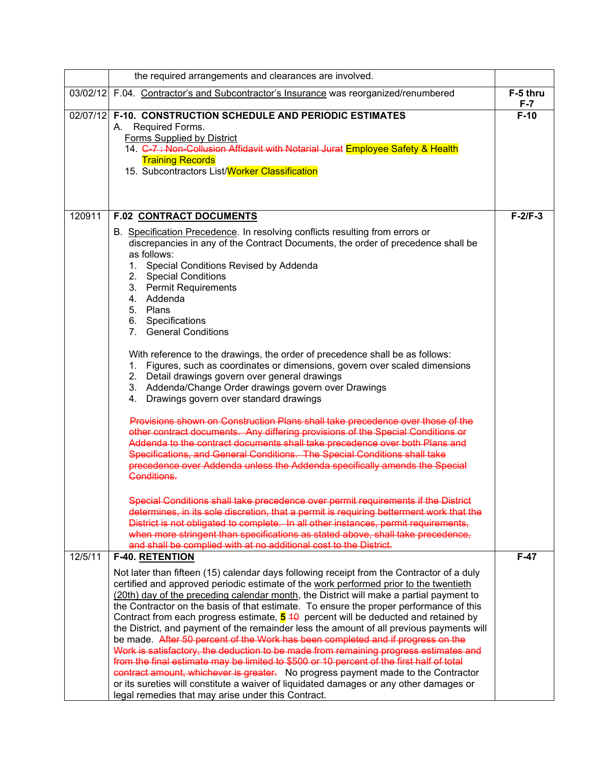|          | the required arrangements and clearances are involved.                                                                                                                                                                                                                                                                                                                                                                                                                                                                                                                                                                                                                                                                                                                                                                                                                                                                                                                                                                                                                                                                                                                                                                                                                                                                                                                                                          |                     |  |  |  |  |
|----------|-----------------------------------------------------------------------------------------------------------------------------------------------------------------------------------------------------------------------------------------------------------------------------------------------------------------------------------------------------------------------------------------------------------------------------------------------------------------------------------------------------------------------------------------------------------------------------------------------------------------------------------------------------------------------------------------------------------------------------------------------------------------------------------------------------------------------------------------------------------------------------------------------------------------------------------------------------------------------------------------------------------------------------------------------------------------------------------------------------------------------------------------------------------------------------------------------------------------------------------------------------------------------------------------------------------------------------------------------------------------------------------------------------------------|---------------------|--|--|--|--|
|          | 03/02/12 F.04. Contractor's and Subcontractor's Insurance was reorganized/renumbered                                                                                                                                                                                                                                                                                                                                                                                                                                                                                                                                                                                                                                                                                                                                                                                                                                                                                                                                                                                                                                                                                                                                                                                                                                                                                                                            | F-5 thru<br>$F - 7$ |  |  |  |  |
| 02/07/12 | F-10. CONSTRUCTION SCHEDULE AND PERIODIC ESTIMATES<br>Required Forms.<br>A.<br>Forms Supplied by District<br>14. C-7: Non-Collusion Affidavit with Notarial Jurat Employee Safety & Health<br><b>Training Records</b><br>15. Subcontractors List/Worker Classification                                                                                                                                                                                                                                                                                                                                                                                                                                                                                                                                                                                                                                                                                                                                                                                                                                                                                                                                                                                                                                                                                                                                          | $F-10$              |  |  |  |  |
| 120911   | F.02 CONTRACT DOCUMENTS<br>B. Specification Precedence. In resolving conflicts resulting from errors or<br>discrepancies in any of the Contract Documents, the order of precedence shall be<br>as follows:<br>1. Special Conditions Revised by Addenda<br>2. Special Conditions<br>3. Permit Requirements<br>4. Addenda<br>5. Plans<br>6. Specifications<br>7. General Conditions<br>With reference to the drawings, the order of precedence shall be as follows:<br>1. Figures, such as coordinates or dimensions, govern over scaled dimensions<br>2. Detail drawings govern over general drawings<br>3. Addenda/Change Order drawings govern over Drawings<br>4. Drawings govern over standard drawings<br>Provisions shown on Construction Plans shall take precedence over those of the<br>other contract documents. Any differing provisions of the Special Conditions or<br>Addenda to the contract documents shall take precedence over both Plans and<br>Specifications, and General Conditions. The Special Conditions shall take<br>precedence over Addenda unless the Addenda specifically amends the Special<br>Conditions.<br>Special Conditions shall take precedence over permit requirements if the District<br>determines, in its sole discretion, that a permit is requiring betterment work that the<br>District is not obligated to complete. In all other instances, permit requirements, |                     |  |  |  |  |
| 12/5/11  | and shall be complied with at no additional cost to the District.<br><b>F-40. RETENTION</b><br>Not later than fifteen (15) calendar days following receipt from the Contractor of a duly<br>certified and approved periodic estimate of the work performed prior to the twentieth<br>(20th) day of the preceding calendar month, the District will make a partial payment to<br>the Contractor on the basis of that estimate. To ensure the proper performance of this<br>Contract from each progress estimate, 5 40 percent will be deducted and retained by<br>the District, and payment of the remainder less the amount of all previous payments will<br>be made. After 50 percent of the Work has been completed and if progress on the<br>Work is satisfactory, the deduction to be made from remaining progress estimates and<br>from the final estimate may be limited to \$500 or 10 percent of the first half of total<br>contract amount, whichever is greater. No progress payment made to the Contractor<br>or its sureties will constitute a waiver of liquidated damages or any other damages or<br>legal remedies that may arise under this Contract.                                                                                                                                                                                                                                           | $F-47$              |  |  |  |  |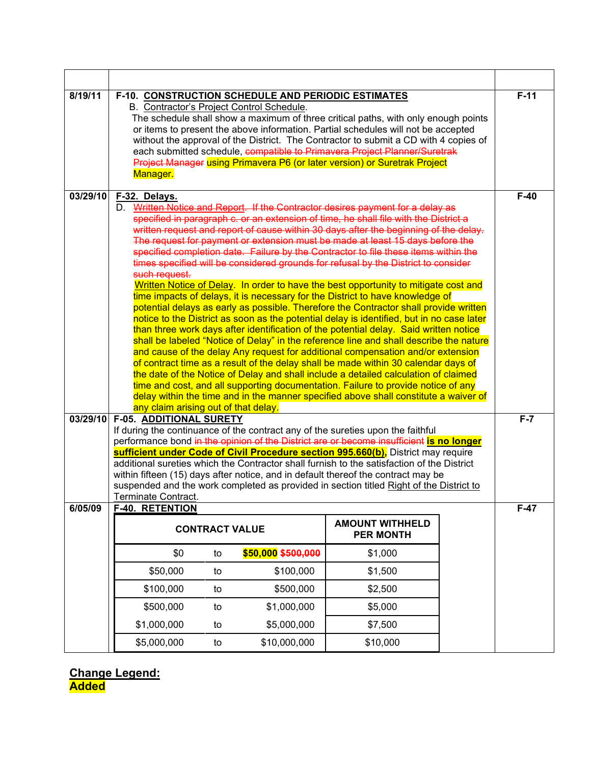| 8/19/11  | F-10. CONSTRUCTION SCHEDULE AND PERIODIC ESTIMATES<br>B. Contractor's Project Control Schedule.<br>The schedule shall show a maximum of three critical paths, with only enough points<br>or items to present the above information. Partial schedules will not be accepted<br>without the approval of the District. The Contractor to submit a CD with 4 copies of<br>each submitted schedule, compatible to Primavera Project Planner/Suretrak<br>Project Manager using Primavera P6 (or later version) or Suretrak Project<br>Manager.                                                                                                                                                                                                                                                                                                                                                                                                                                                                                                                                                                                                                                                                                                                                                                                                                                                                                                                                                                                                                                                             |    |                       |                                            |  | $F-11$ |
|----------|------------------------------------------------------------------------------------------------------------------------------------------------------------------------------------------------------------------------------------------------------------------------------------------------------------------------------------------------------------------------------------------------------------------------------------------------------------------------------------------------------------------------------------------------------------------------------------------------------------------------------------------------------------------------------------------------------------------------------------------------------------------------------------------------------------------------------------------------------------------------------------------------------------------------------------------------------------------------------------------------------------------------------------------------------------------------------------------------------------------------------------------------------------------------------------------------------------------------------------------------------------------------------------------------------------------------------------------------------------------------------------------------------------------------------------------------------------------------------------------------------------------------------------------------------------------------------------------------------|----|-----------------------|--------------------------------------------|--|--------|
| 03/29/10 | F-32. Delays.<br>D. Written Notice and Report. If the Contractor desires payment for a delay as<br>specified in paragraph c. or an extension of time, he shall file with the District a<br>written request and report of cause within 30 days after the beginning of the delay.<br>The request for payment or extension must be made at least 15 days before the<br>specified completion date. Failure by the Contractor to file these items within the<br>times specified will be considered grounds for refusal by the District to consider<br>such request.<br>Written Notice of Delay. In order to have the best opportunity to mitigate cost and<br>time impacts of delays, it is necessary for the District to have knowledge of<br>potential delays as early as possible. Therefore the Contractor shall provide written<br>notice to the District as soon as the potential delay is identified, but in no case later<br>than three work days after identification of the potential delay. Said written notice<br>shall be labeled "Notice of Delay" in the reference line and shall describe the nature<br>and cause of the delay Any request for additional compensation and/or extension<br>of contract time as a result of the delay shall be made within 30 calendar days of<br>the date of the Notice of Delay and shall include a detailed calculation of claimed<br>time and cost, and all supporting documentation. Failure to provide notice of any<br>delay within the time and in the manner specified above shall constitute a waiver of<br>any claim arising out of that delay. |    |                       |                                            |  |        |
| 03/29/10 | <b>F-05. ADDITIONAL SURETY</b><br>If during the continuance of the contract any of the sureties upon the faithful<br>performance bond in the opinion of the District are or become insufficient is no longer<br><b>sufficient under Code of Civil Procedure section 995.660(b),</b> District may require<br>additional sureties which the Contractor shall furnish to the satisfaction of the District<br>within fifteen (15) days after notice, and in default thereof the contract may be<br>suspended and the work completed as provided in section titled Right of the District to<br>Terminate Contract.                                                                                                                                                                                                                                                                                                                                                                                                                                                                                                                                                                                                                                                                                                                                                                                                                                                                                                                                                                                        |    |                       |                                            |  | $F-7$  |
| 6/05/09  | <b>F-40. RETENTION</b>                                                                                                                                                                                                                                                                                                                                                                                                                                                                                                                                                                                                                                                                                                                                                                                                                                                                                                                                                                                                                                                                                                                                                                                                                                                                                                                                                                                                                                                                                                                                                                               |    | <b>CONTRACT VALUE</b> | <b>AMOUNT WITHHELD</b><br><b>PER MONTH</b> |  | $F-47$ |
|          | \$0                                                                                                                                                                                                                                                                                                                                                                                                                                                                                                                                                                                                                                                                                                                                                                                                                                                                                                                                                                                                                                                                                                                                                                                                                                                                                                                                                                                                                                                                                                                                                                                                  | to | \$50,000 \$500,000    | \$1,000                                    |  |        |
|          | \$50,000                                                                                                                                                                                                                                                                                                                                                                                                                                                                                                                                                                                                                                                                                                                                                                                                                                                                                                                                                                                                                                                                                                                                                                                                                                                                                                                                                                                                                                                                                                                                                                                             | to | \$100,000             | \$1,500                                    |  |        |
|          | \$100,000                                                                                                                                                                                                                                                                                                                                                                                                                                                                                                                                                                                                                                                                                                                                                                                                                                                                                                                                                                                                                                                                                                                                                                                                                                                                                                                                                                                                                                                                                                                                                                                            | to | \$500,000             | \$2,500                                    |  |        |
|          | \$500,000                                                                                                                                                                                                                                                                                                                                                                                                                                                                                                                                                                                                                                                                                                                                                                                                                                                                                                                                                                                                                                                                                                                                                                                                                                                                                                                                                                                                                                                                                                                                                                                            | to | \$1,000,000           | \$5,000                                    |  |        |
|          | \$1,000,000                                                                                                                                                                                                                                                                                                                                                                                                                                                                                                                                                                                                                                                                                                                                                                                                                                                                                                                                                                                                                                                                                                                                                                                                                                                                                                                                                                                                                                                                                                                                                                                          | to | \$5,000,000           | \$7,500                                    |  |        |
|          | \$5,000,000                                                                                                                                                                                                                                                                                                                                                                                                                                                                                                                                                                                                                                                                                                                                                                                                                                                                                                                                                                                                                                                                                                                                                                                                                                                                                                                                                                                                                                                                                                                                                                                          | to | \$10,000,000          | \$10,000                                   |  |        |

**Change Legend: Added**